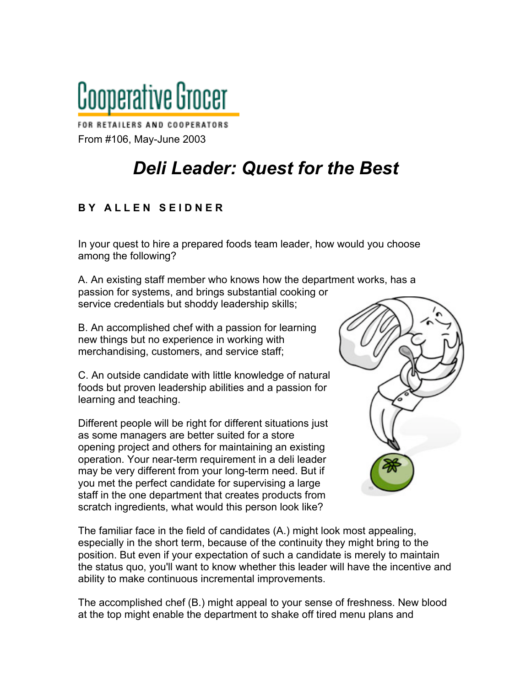

FOR RETAILERS AND COOPERATORS From #106, May-June 2003

## *Deli Leader: Quest for the Best*

## **B Y A L L E N S E I D N E R**

In your quest to hire a prepared foods team leader, how would you choose among the following?

A. An existing staff member who knows how the department works, has a passion for systems, and brings substantial cooking or service credentials but shoddy leadership skills;

B. An accomplished chef with a passion for learning new things but no experience in working with merchandising, customers, and service staff;

C. An outside candidate with little knowledge of natural foods but proven leadership abilities and a passion for learning and teaching.

Different people will be right for different situations just as some managers are better suited for a store opening project and others for maintaining an existing operation. Your near-term requirement in a deli leader may be very different from your long-term need. But if you met the perfect candidate for supervising a large staff in the one department that creates products from scratch ingredients, what would this person look like?



The familiar face in the field of candidates (A.) might look most appealing, especially in the short term, because of the continuity they might bring to the position. But even if your expectation of such a candidate is merely to maintain the status quo, you'll want to know whether this leader will have the incentive and ability to make continuous incremental improvements.

The accomplished chef (B.) might appeal to your sense of freshness. New blood at the top might enable the department to shake off tired menu plans and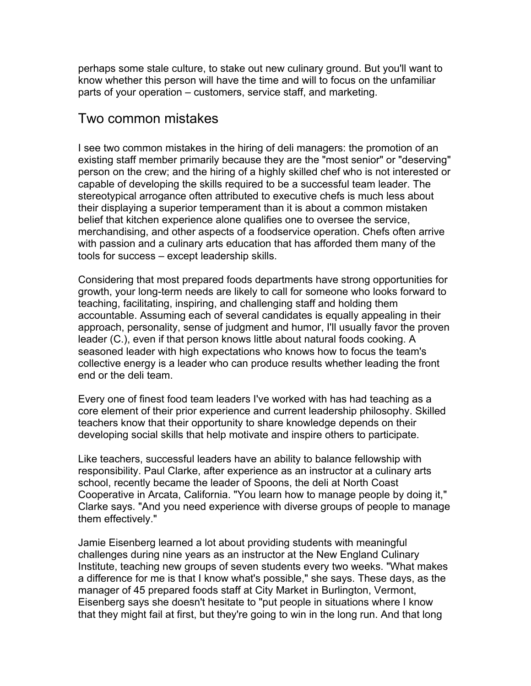perhaps some stale culture, to stake out new culinary ground. But you'll want to know whether this person will have the time and will to focus on the unfamiliar parts of your operation – customers, service staff, and marketing.

## Two common mistakes

I see two common mistakes in the hiring of deli managers: the promotion of an existing staff member primarily because they are the "most senior" or "deserving" person on the crew; and the hiring of a highly skilled chef who is not interested or capable of developing the skills required to be a successful team leader. The stereotypical arrogance often attributed to executive chefs is much less about their displaying a superior temperament than it is about a common mistaken belief that kitchen experience alone qualifies one to oversee the service, merchandising, and other aspects of a foodservice operation. Chefs often arrive with passion and a culinary arts education that has afforded them many of the tools for success – except leadership skills.

Considering that most prepared foods departments have strong opportunities for growth, your long-term needs are likely to call for someone who looks forward to teaching, facilitating, inspiring, and challenging staff and holding them accountable. Assuming each of several candidates is equally appealing in their approach, personality, sense of judgment and humor, I'll usually favor the proven leader (C.), even if that person knows little about natural foods cooking. A seasoned leader with high expectations who knows how to focus the team's collective energy is a leader who can produce results whether leading the front end or the deli team.

Every one of finest food team leaders I've worked with has had teaching as a core element of their prior experience and current leadership philosophy. Skilled teachers know that their opportunity to share knowledge depends on their developing social skills that help motivate and inspire others to participate.

Like teachers, successful leaders have an ability to balance fellowship with responsibility. Paul Clarke, after experience as an instructor at a culinary arts school, recently became the leader of Spoons, the deli at North Coast Cooperative in Arcata, California. "You learn how to manage people by doing it," Clarke says. "And you need experience with diverse groups of people to manage them effectively."

Jamie Eisenberg learned a lot about providing students with meaningful challenges during nine years as an instructor at the New England Culinary Institute, teaching new groups of seven students every two weeks. "What makes a difference for me is that I know what's possible," she says. These days, as the manager of 45 prepared foods staff at City Market in Burlington, Vermont, Eisenberg says she doesn't hesitate to "put people in situations where I know that they might fail at first, but they're going to win in the long run. And that long